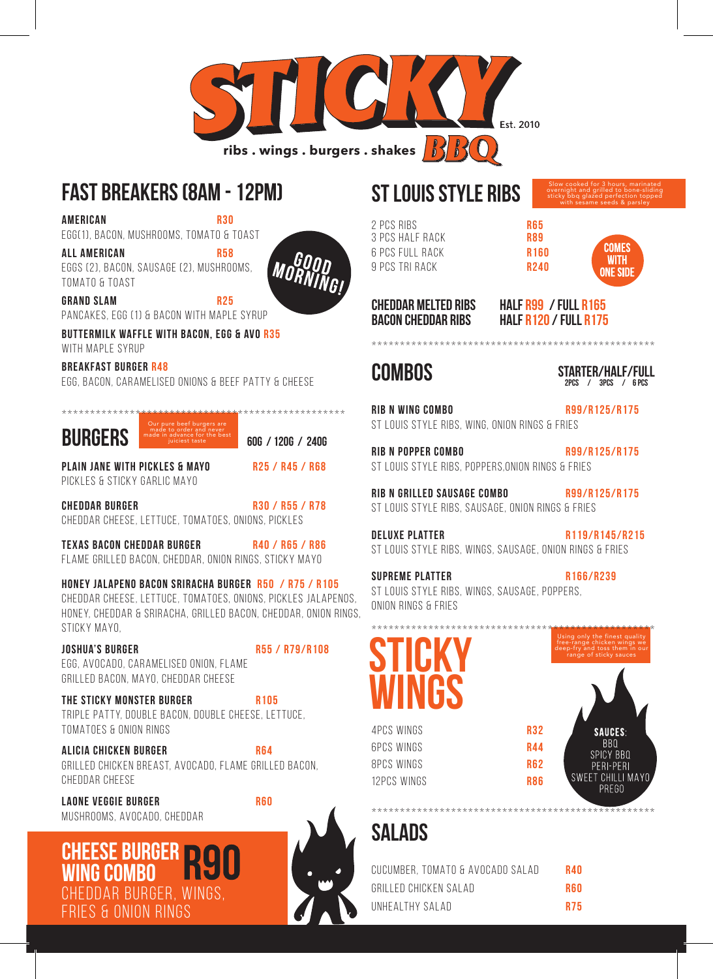

### **FAST BREAKERS (8AM - 12PM)**

AMERICAN R30

EGG(1), BACON, MUSHROOMS, TOMATO & TOAST

ALL AMERICAN R58 EGGS (2), BACON, SAUSAGE (2), MUSHROOMS, TOMATO & TOAST



GRAND SLAM R25 PANCAKES, EGG (1) & BACON WITH MAPLE SYRUP

BUTTERMILK WAFFLE WITH BACON, EGG & AVO R35 WITH MAPLE SYRUP

BREAKFAST BURGER R48

EGG, BACON, CARAMELISED ONIONS & BEEF PATTY & CHEESE



PLAIN JANE WITH PICKLES & MAYO R25 / R45 / R68 PICKLES & STICKY GARLIC MAYO

CHEDDAR BURGER R30 / R55 / R78 CHEDDAR CHEESE, LETTUCE, TOMATOES, ONIONS, PICKLES

TEXAS BACON CHEDDAR BURGER R40 / R65 / R86 FLAME GRILLED BACON, CHEDDAR, ONION RINGS, STICKY MAYO

HONEY JALAPENO BACON SRIRACHA BURGER R50 / R75 / R105 CHEDDAR CHEESE, LETTUCE, TOMATOES, ONIONS, PICKLES JALAPENOS, HONEY, CHEDDAR & SRIRACHA, GRILLED BACON, CHEDDAR, ONION RINGS, STICKY MAYO,

JOSHUA'S BURGER R55 / R79/R108 EGG, AVOCADO, CARAMELISED ONION, FLAME GRILLED BACON, MAYO, CHEDDAR CHEESE

**THE STICKY MONSTER BURGER R105** TRIPLE PATTY, DOUBLE BACON, DOUBLE CHEESE, LETTUCE, TOMATOES & ONION RINGS

ALICIA CHICKEN BURGER R64 GRILLED CHICKEN BREAST, AVOCADO, FLAME GRILLED BACON, CHEDDAR CHEESE

LAONE VEGGIE BURGER REGO MUSHROOMS, AVOCADO, CHEDDAR

### **CHEESE BURGER WING COMBO** DDAR BURGER, WINGS, S & ONION RINGS



## **ST LOUIS STYLE RIBS**

2 PCS RIBS<br>3 PCS HALF RACK R89 3 PCS HALF RACK 6 PCS FULL RACK R160 9 PCS TRI RACK R240

COMES **WITH ONE SIDI** 

Slow cooked for 3 hours, marinated overnight and grilled to bone-sliding sticky bbq glazed perfection topped with sesame seeds & parsley

**CHEDDAR MELTED RIBS HALF R99 / FULL R165 BACON CHEDDAR RIBS HALF R120 / FULL R175**

#### **COMBOS**

2pcs / 3pcs / 6 pcs  **STARTER/HALF/FULL**

RIB N WING COMBO R99/R125/R175 ST LOUIS STYLE RIBS, WING, ONION RINGS & FRIES

RIB N POPPER COMBO R99/R125/R175 ST LOUIS STYLE RIBS, POPPERS,ONION RINGS & FRIES

\*\*\*\*\*\*\*\*\*\*\*\*\*\*\*\*\*\*\*\*\*\*\*\*\*\*\*\*\*\*\*\*\*\*\*\*\*\*\*\*\*\*\*\*\*\*\*\*\*\*

RIB N GRILLED SAUSAGE COMBO R99/R125/R175 ST LOUIS STYLE RIBS, SAUSAGE, ONION RINGS & FRIES

DELUXE PLATTER R119/R145/R215 ST LOUIS STYLE RIBS, WINGS, SAUSAGE, ONION RINGS & FRIES

SUPREME PLATTER R166/R239 ST LOUIS STYLE RIBS, WINGS, SAUSAGE, POPPERS, ONION RINGS & FRIES

# \*\*\*\*\*\*\*\*\*\*\*\*\*\*\*\*\*\*\*\*\*\*\*\*\*\*\*\*\*\*\*\*\*\*\*\*\*\*\*\*\*\*\*\*\*\*\*\*\*\* **STICKY WINGS**

4PCS WINGS **R32** 6PCS WINGS **R44** 8PCS WINGS R62 12PCS WINGS R86

\*\*\*\*\*\*\*\*\*\*\*\*\*\*\*\*\*\*\*\*\*\*\*\*\*\*\*\*\*\*\*\*\*\*\*\*\*\*\*\*\*\*\*\*\*\*\*\*\*\* **SALADS**

| CUCUMBER, TOMATO & AVOCADO SALAD | R40        |
|----------------------------------|------------|
| GRILLED CHICKEN SALAD            | <b>R60</b> |
| UNHEALTHY SALAD                  | <b>R75</b> |



Using only the finest quality free-range chicken wings we deep-fry and toss them in our range of sticky sauces